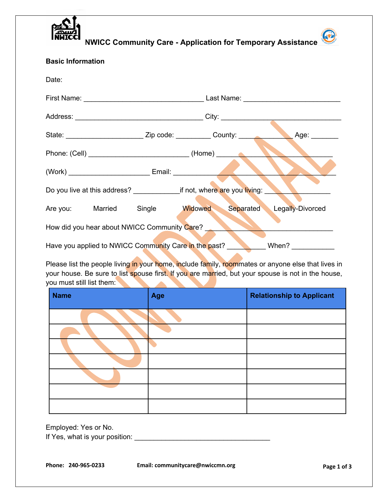

**NWICC Community Care - Application for Temporary Assistance**

| <b>Basic Information</b>                                                         |  |  |  |             |
|----------------------------------------------------------------------------------|--|--|--|-------------|
| Date:                                                                            |  |  |  |             |
|                                                                                  |  |  |  |             |
|                                                                                  |  |  |  |             |
|                                                                                  |  |  |  | Age: $\_\_$ |
|                                                                                  |  |  |  |             |
| (Work) Email: Email:                                                             |  |  |  |             |
|                                                                                  |  |  |  |             |
| Are you: Married Single Widowed Separated Legally-Divorced                       |  |  |  |             |
| How did you hear about NWICC Community Care?                                     |  |  |  |             |
| <b>Example 19 When?</b><br>Have you applied to NWICC Community Care in the past? |  |  |  |             |

Please list the people living in your home, include family, roommates or anyone else that lives in your house. Be sure to list spouse first. If you are married, but your spouse is not in the house, you must still list them:

| <b>Name</b> | Age | <b>Relationship to Applicant</b> |
|-------------|-----|----------------------------------|
|             |     |                                  |
|             |     |                                  |
|             |     |                                  |
|             |     |                                  |
|             |     |                                  |
|             |     |                                  |
|             |     |                                  |

Employed: Yes or No.

If Yes, what is your position: \_\_\_\_\_\_\_\_\_\_\_\_\_\_\_\_\_\_\_\_\_\_\_\_\_\_\_\_\_\_\_\_\_\_\_

**Phone: 240-965-0233 Email: communitycare@nwiccmn.org Page 1 of 3**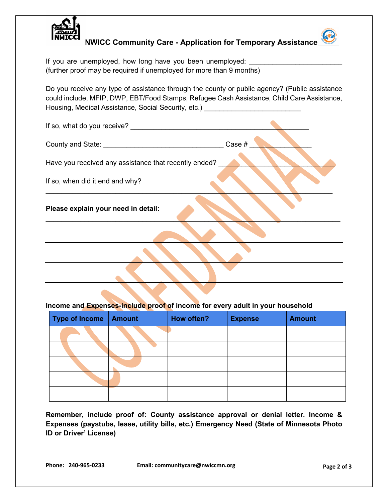

**NWICC Community Care - Application for Temporary Assistance**

If you are unemployed, how long have you been unemployed: (further proof may be required if unemployed for more than 9 months)

Do you receive any type of assistance through the county or public agency? (Public assistance could include, MFIP, DWP, EBT/Food Stamps, Refugee Cash Assistance, Child Care Assistance, Housing, Medical Assistance, Social Security, etc.)

| If so, what do you receive?                           |        |
|-------------------------------------------------------|--------|
|                                                       | Case # |
| Have you received any assistance that recently ended? |        |
| If so, when did it end and why?                       |        |
| Please explain your need in detail:                   |        |
|                                                       |        |
|                                                       |        |
|                                                       |        |

## **Income and Expenses-include proof of income for every adult in your household**

| Type of Income   Amount | How often? | <b>Expense</b> | <b>Amount</b> |
|-------------------------|------------|----------------|---------------|
|                         |            |                |               |
|                         |            |                |               |
|                         |            |                |               |
|                         |            |                |               |
|                         |            |                |               |

**Remember, include proof of: County assistance approval or denial letter. Income & Expenses (paystubs, lease, utility bills, etc.) Emergency Need (State of Minnesota Photo ID or Driver' License)**